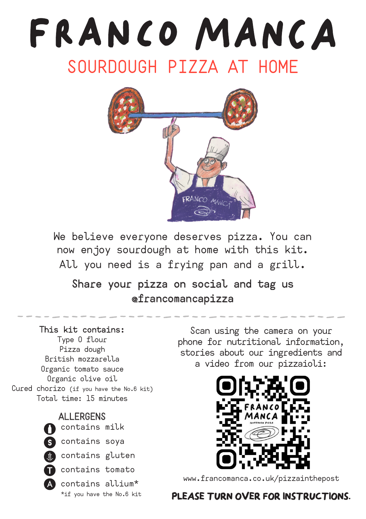## FRANCO MANCA SOURDOUGH PIZZA AT HOME



We believe everyone deserves pizza. You can now enjoy sourdough at home with this kit. All you need is a frying pan and a grill.

#### Share your pizza on social and tag us @francomancapizza

#### This kit contains:

Type O flour Pizza dough British mozzarella Organic tomato sauce Organic olive oil Cured chorizo (if you have the No.6 kit) Total time: 15 minutes

#### **ALLERGENS**



contains soya

**Contains gluten** 



contains allium\* \*if you have the No.6 kit

Scan using the camera on your phone for nutritional information, stories about our ingredients and a video from our pizzaioli:



www.francomanca.co.uk/pizzainthepost

#### **PLEASE TURN OVER FOR INSTRUCTIONS.**